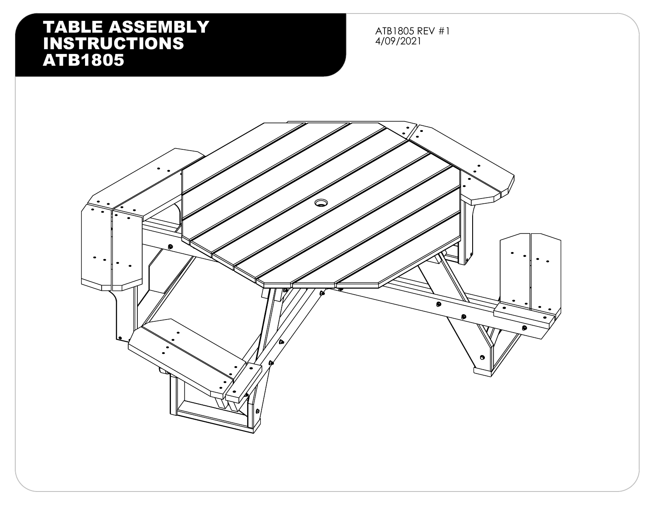ATB1805 REV #1 4/09/2021

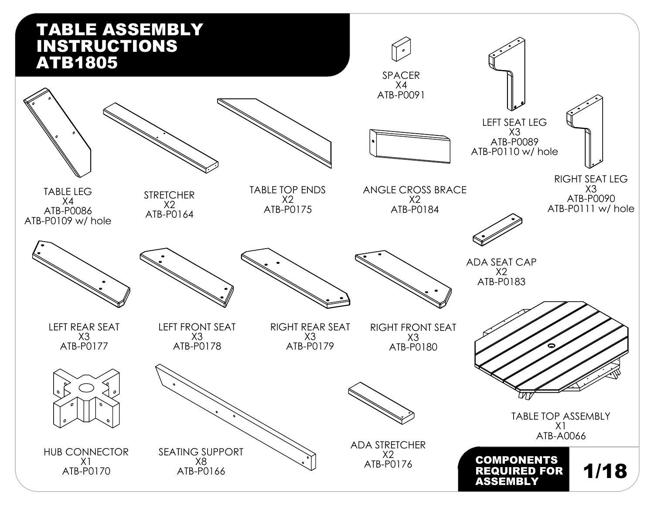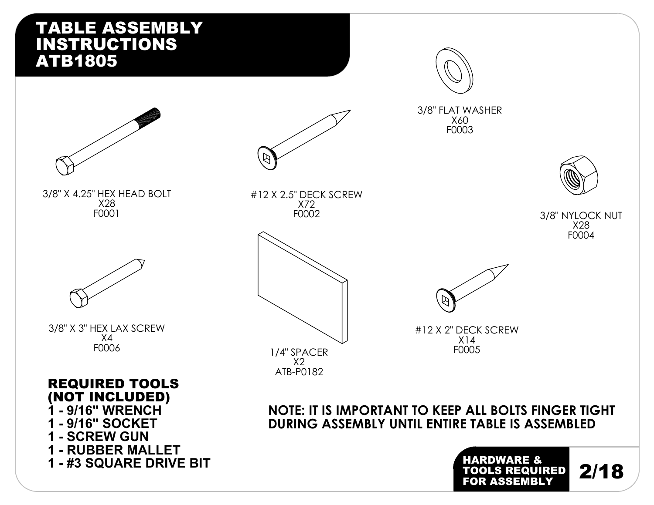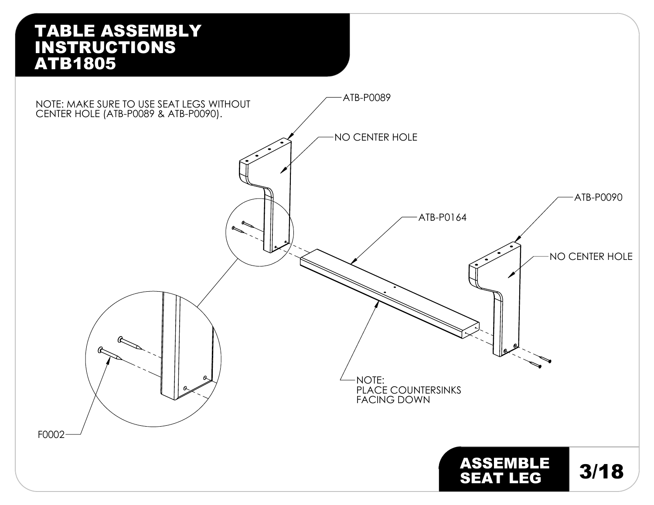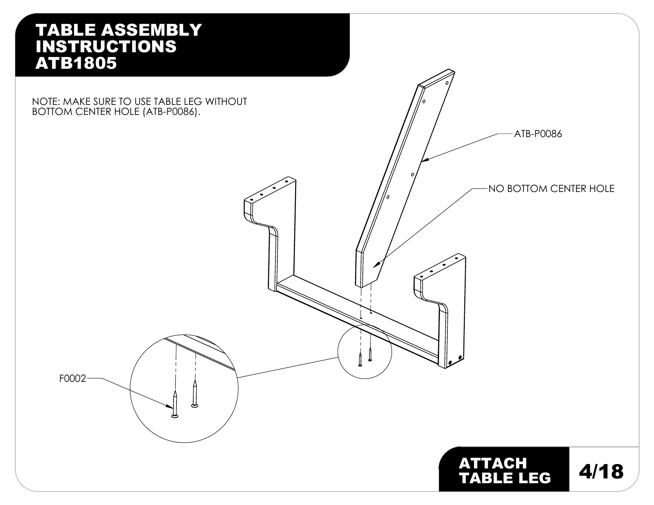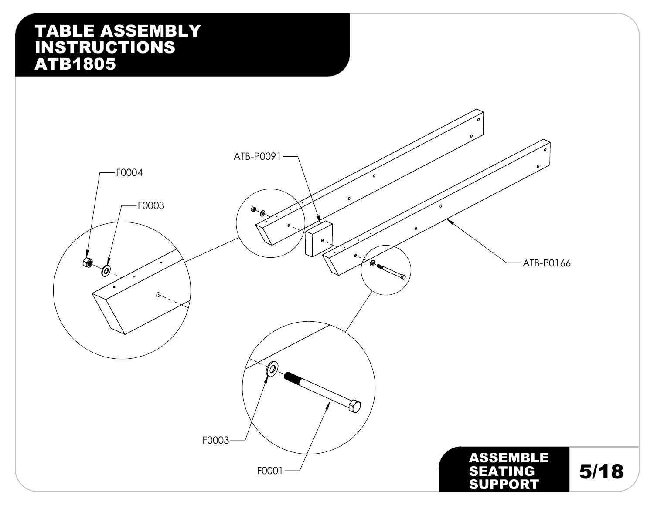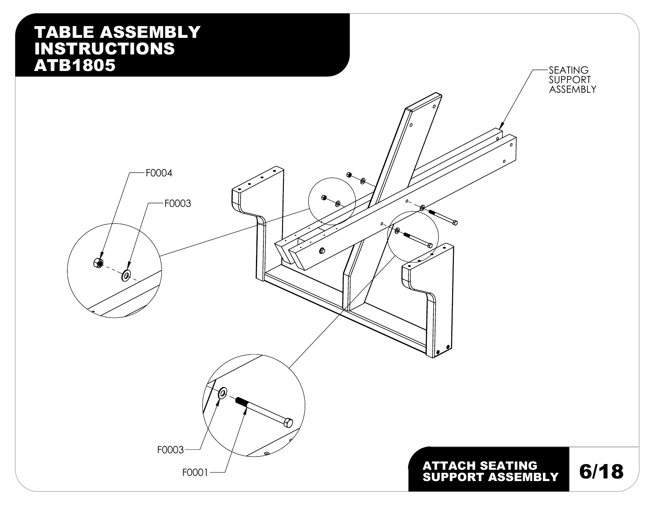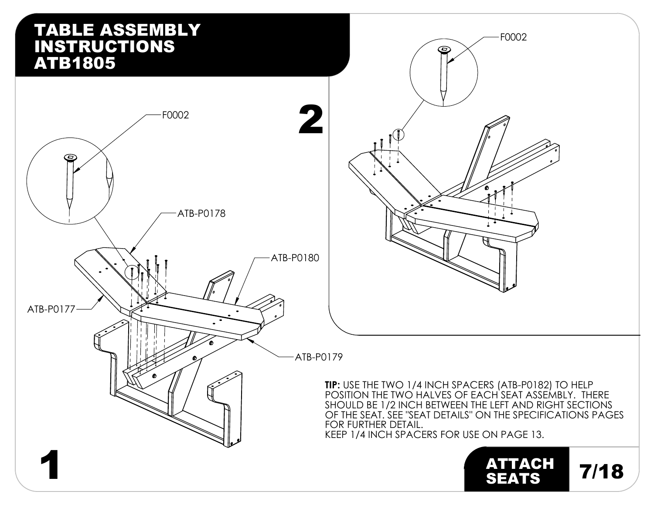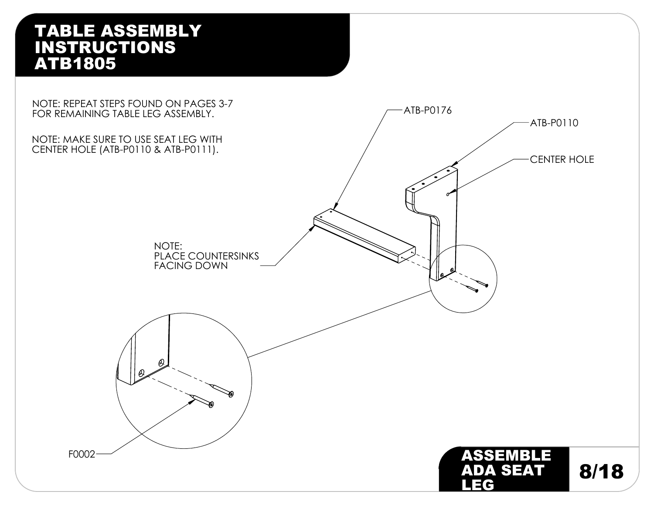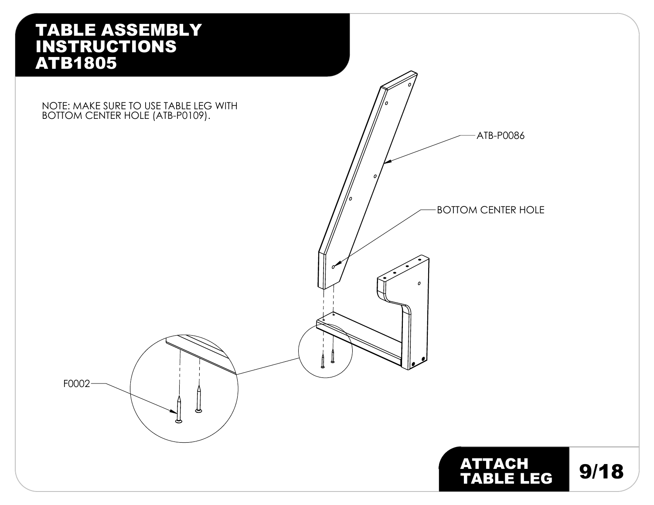F0002

#### NOTE: MAKE SURE TO USE TABLE LEG WITH BOTTOM CENTER HOLE (ATB-P0109).



ATTACH 9/18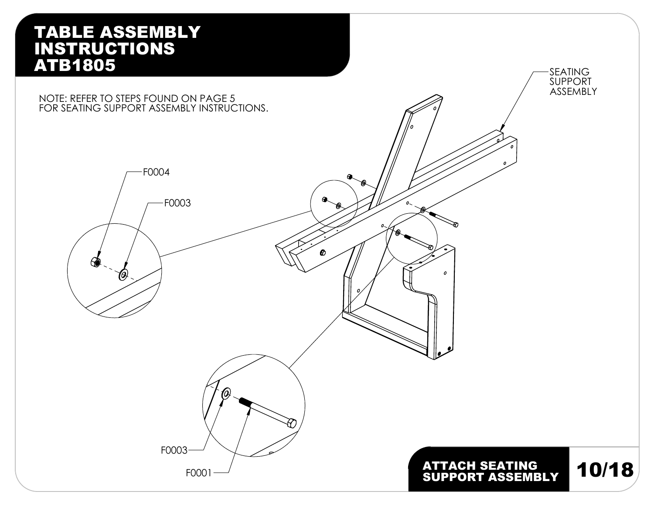NOTE: REFER TO STEPS FOUND ON PAGE 5 FOR SEATING SUPPORT ASSEMBLY INSTRUCTIONS.







SEATING SUPPORT ASSEMBLY

# ATTACH SEATING<br>SUPPORT ASSEMBLY 10/18

 $\mathfrak{o}$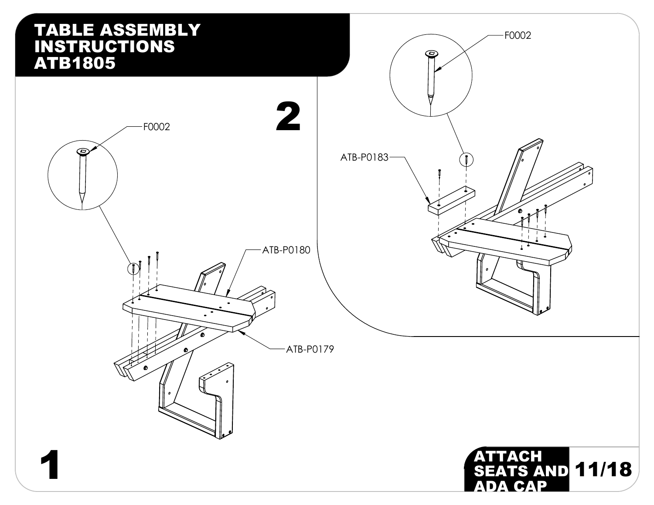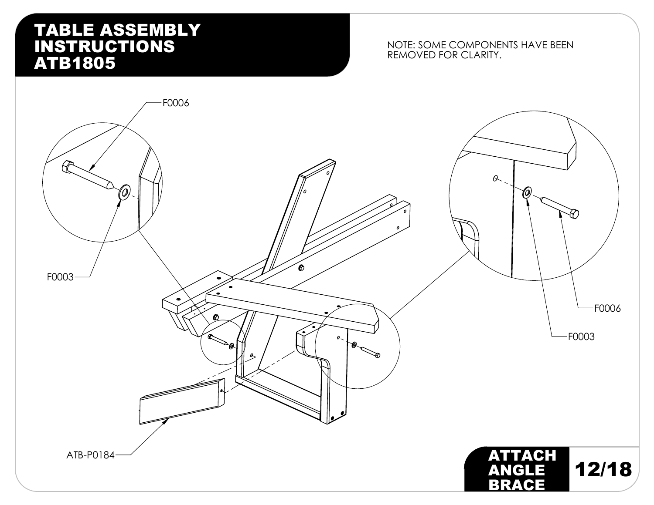### NOTE: SOME COMPONENTS HAVE BEEN REMOVED FOR CLARITY.

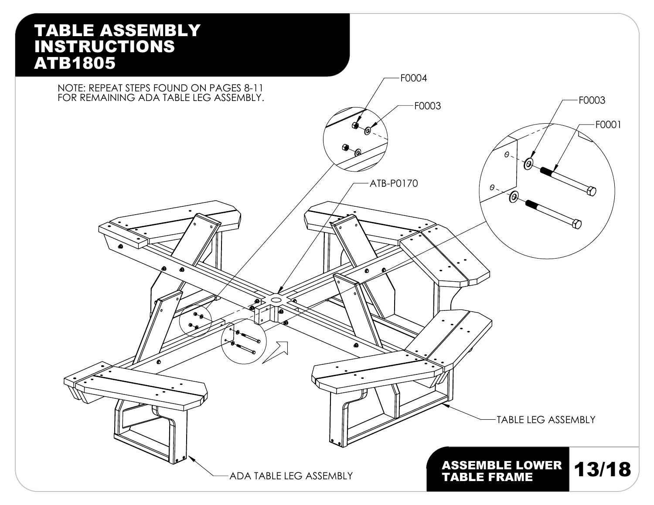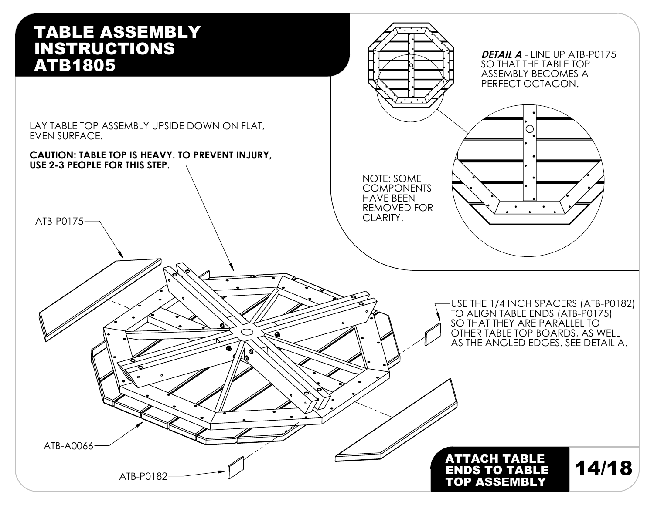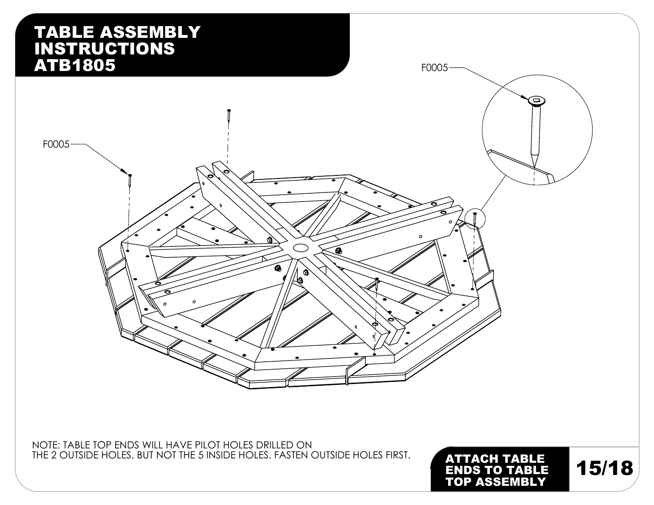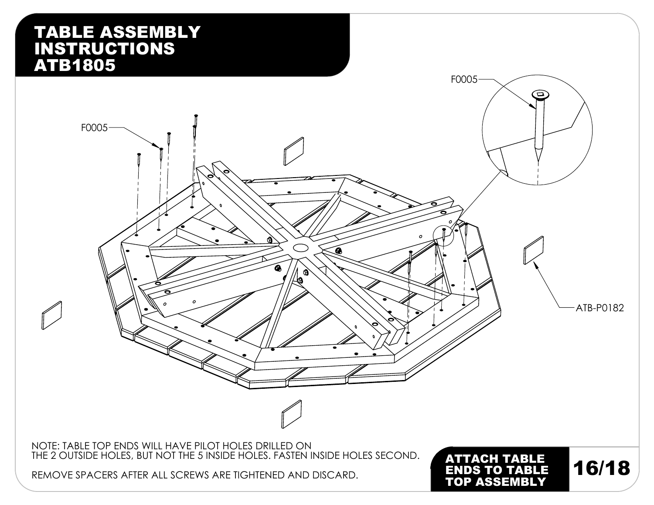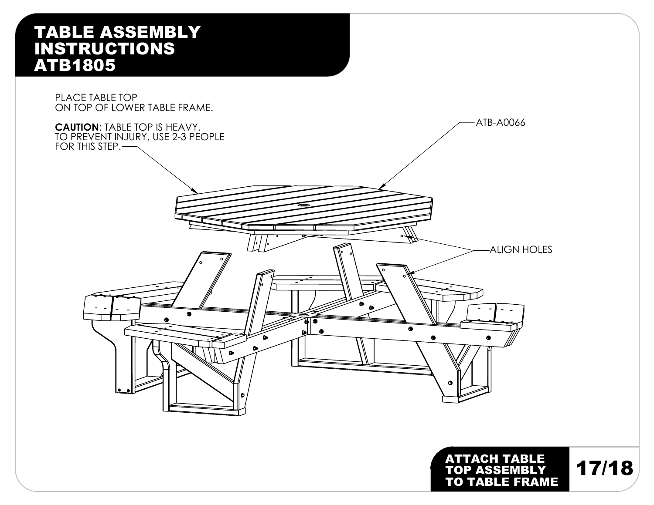

17/18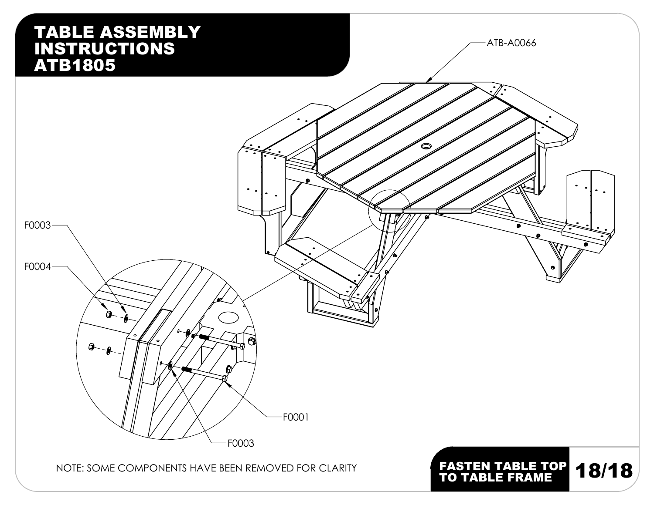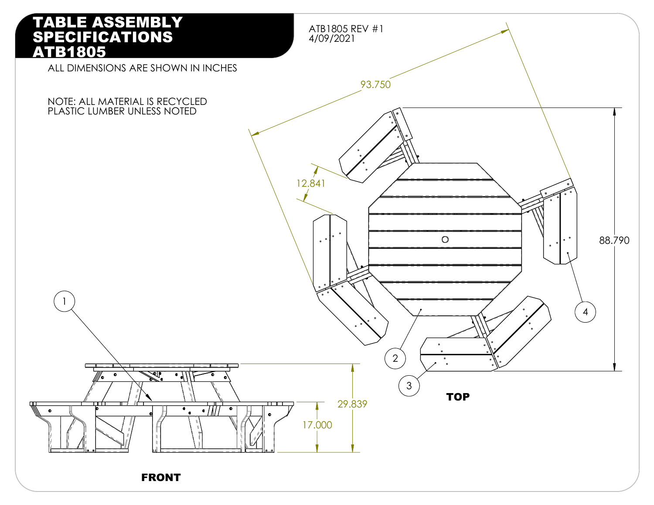